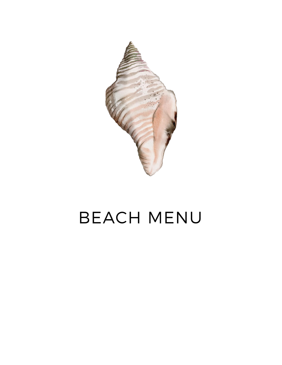

# BEACH MENU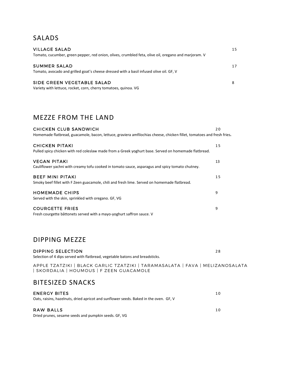# SALADS

| <b>VILLAGE SALAD</b>                                                                                 | 15 |
|------------------------------------------------------------------------------------------------------|----|
| Tomato, cucumber, green pepper, red onion, olives, crumbled feta, olive oil, oregano and marjoram. V |    |
| <b>SUMMER SALAD</b>                                                                                  | 17 |
| Tomato, avocado and grilled goat's cheese dressed with a basil infused olive oil. GF, V              |    |
| SIDE GREEN VEGETABLE SALAD                                                                           |    |
| Variety with lettuce, rocket, corn, cherry tomatoes, quinoa. VG                                      |    |

# MEZZE FROM THE LAND

| <b>CHICKEN CLUB SANDWICH</b><br>Homemade flatbread, guacamole, bacon, lettuce, graviera amfilochias cheese, chicken fillet, tomatoes and fresh fries. | 20 |
|-------------------------------------------------------------------------------------------------------------------------------------------------------|----|
|                                                                                                                                                       |    |
| <b>CHICKEN PITAKI</b><br>Pulled spicy chicken with red coleslaw made from a Greek yoghurt base. Served on homemade flatbread.                         | 15 |
| <b>VEGAN PITAKI</b><br>Cauliflower yachni with creamy tofu cooked in tomato sauce, asparagus and spicy tomato chutney.                                | 13 |
| <b>BEEF MINI PITAKI</b><br>Smoky beef fillet with F Zeen guacamole, chili and fresh lime. Served on homemade flatbread.                               | 15 |
| <b>HOMEMADE CHIPS</b><br>Served with the skin, sprinkled with oregano. GF, VG                                                                         | 9  |
| <b>COURGETTE FRIES</b><br>Fresh courgette bâttonets served with a mayo-yoghurt saffron sauce. V                                                       | 9  |

# DIPPING MEZZE

| DIPPING SELECTION<br>Selection of 4 dips served with flatbread, vegetable batons and breadsticks.                         | 28 |
|---------------------------------------------------------------------------------------------------------------------------|----|
| APPLE TZATZIKI   BLACK GARLIC TZATZIKI   TARAMASALATA   FAVA   MELIZANOSALATA<br>  SKORDALIA   HOUMOUS   F ZEEN GUACAMOLE |    |

# BITESIZED SNACKS

| <b>ENERGY BITES</b>                                                                   | 10  |
|---------------------------------------------------------------------------------------|-----|
| Oats, raisins, hazelnuts, dried apricot and sunflower seeds. Baked in the oven. GF, V |     |
|                                                                                       |     |
| RAW BALLS                                                                             | 1 O |
| Dried prunes, sesame seeds and pumpkin seeds. GF, VG                                  |     |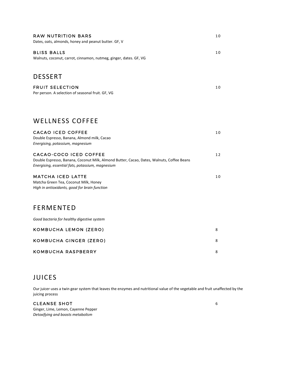| RAW NUTRITION BARS<br>Dates, oats, almonds, honey and peanut butter. GF, V                                                                                              | 10 |
|-------------------------------------------------------------------------------------------------------------------------------------------------------------------------|----|
| BLISS BALLS<br>Walnuts, coconut, carrot, cinnamon, nutmeg, ginger, dates. GF, VG                                                                                        | 10 |
| <b>DESSERT</b>                                                                                                                                                          |    |
| <b>FRUIT SELECTION</b><br>Per person. A selection of seasonal fruit. GF, VG                                                                                             | 10 |
| WELLNESS COFFEE                                                                                                                                                         |    |
| CACAO ICED COFFEE<br>Double Espresso, Banana, Almond milk, Cacao<br>Energising, potassium, magnesium                                                                    | 10 |
| CACAO-COCO ICED COFFEE<br>Double Espresso, Banana, Coconut Milk, Almond Butter, Cacao, Dates, Walnuts, Coffee Beans<br>Energising, essential fats, potassium, magnesium | 12 |
| MATCHA ICED LATTE<br>Matcha Green Tea, Coconut Milk, Honey<br>High in antioxidants, good for brain function                                                             | 10 |
| <b>FERMENTED</b>                                                                                                                                                        |    |
| Good bacteria for healthy digestive system                                                                                                                              |    |
| KOMBUCHA LEMON (ZERO)                                                                                                                                                   | 8  |
| KOMBUCHA GINGER (ZERO)                                                                                                                                                  | 8  |
| KOMBUCHA RASPBERRY                                                                                                                                                      | 8  |

# JUICES

Our juicer uses a twin gear system that leaves the enzymes and nutritional value of the vegetable and fruit unaffected by the juicing process

CLEANSE SHOT 6 Ginger, Lime, Lemon, Cayenne Pepper *Detoxifying and boosts metabolism*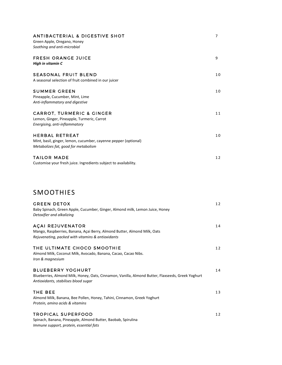| <b>ANTIBACTERIAL &amp; DIGESTIVE SHOT</b><br>Green Apple, Oregano, Honey<br>Soothing and anti-microbial                          | $\overline{7}$ |
|----------------------------------------------------------------------------------------------------------------------------------|----------------|
| <b>FRESH ORANGE JUICE</b><br>High in vitamin C                                                                                   | 9              |
| <b>SEASONAL FRUIT BLEND</b><br>A seasonal selection of fruit combined in our juicer                                              | 10             |
| <b>SUMMER GREEN</b><br>Pineapple, Cucumber, Mint, Lime<br>Anti-inflammatory and digestive                                        | 10             |
| <b>CARROT, TURMERIC &amp; GINGER</b><br>Lemon, Ginger, Pineapple, Turmeric, Carrot<br>Energising, anti-inflammatory              | 11             |
| <b>HERBAL RETREAT</b><br>Mint, basil, ginger, lemon, cucumber, cayenne pepper (optional)<br>Metabolizes fat, good for metabolism | 10             |
| <b>TAILOR MADE</b><br>Customise your fresh juice. Ingredients subject to availability.                                           | 12             |
| <b>SMOOTHIES</b>                                                                                                                 |                |

| <b>GREEN DETOX</b><br>Baby Spinach, Green Apple, Cucumber, Ginger, Almond milk, Lemon Juice, Honey<br>Detoxifier and alkalizing                                       | 12 |
|-----------------------------------------------------------------------------------------------------------------------------------------------------------------------|----|
| <b>AÇAI REJUVENATOR</b><br>Mango, Raspberries, Banana, Açai Berry, Almond Butter, Almond Milk, Oats<br>Rejuvenating, packed with vitamins & antioxidants              | 14 |
| THE ULTIMATE CHOCO SMOOTHIE<br>Almond Milk, Coconut Milk, Avocado, Banana, Cacao, Cacao Nibs.<br>Iron & magnesium                                                     | 12 |
| <b>BLUEBERRY YOGHURT</b><br>Blueberries, Almond Milk, Honey, Oats, Cinnamon, Vanilla, Almond Butter, Flaxseeds, Greek Yoghurt<br>Antioxidants, stabilises blood sugar | 14 |
| THE BEE<br>Almond Milk, Banana, Bee Pollen, Honey, Tahini, Cinnamon, Greek Yoghurt<br>Protein, amino acids & vitamins                                                 | 13 |
| <b>TROPICAL SUPERFOOD</b><br>Spinach, Banana, Pineapple, Almond Butter, Baobab, Spirulina                                                                             | 12 |

*Immune support, protein, essential fats*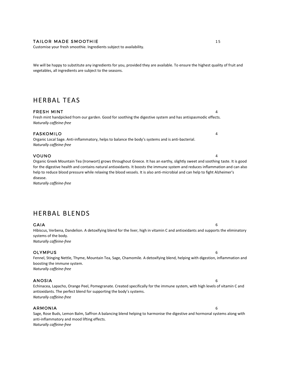#### TAILOR MADE SMOOTHIE 15

Customise your fresh smoothie. Ingredients subject to availability.

We will be happy to substitute any ingredients for you, provided they are available. To ensure the highest quality of fruit and vegetables, all ingredients are subject to the seasons.

# HERBAL TEAS

#### FRESH MINT 4

Fresh mint handpicked from our garden. Good for soothing the digestive system and has antispasmodic effects. *Naturally caffeine-free*

#### FASKOMILO 4

Organic Local Sage. Anti-inflammatory, helps to balance the body's systems and is anti-bacterial. *Naturally caffeine-free*

#### VOUNO 4

Organic Greek Mountain Tea (Ironwort) grows throughout Greece. It has an earthy, slightly sweet and soothing taste. It is good for the digestive health and contains natural antioxidants. It boosts the immune system and reduces inflammation and can also help to reduce blood pressure while relaxing the blood vessels. It is also anti-microbial and can help to fight Alzheimer's disease.

*Naturally caffeine-free*

# HERBAL BLENDS

#### $GAIA$  6

Hibiscus, Verbena, Dandelion. A detoxifying blend for the liver, high in vitamin C and antioxidants and supports the eliminatory systems of the body. *Naturally caffeine-free*

#### OLYMPUS 6

Fennel, Stinging Nettle, Thyme, Mountain Tea, Sage, Chamomile. A detoxifying blend, helping with digestion, inflammation and boosting the immune system. *Naturally caffeine-free*

#### ANOSIA 6

Echinacea, Lapacho, Orange Peel, Pomegranate. Created specifically for the immune system, with high levels of vitamin C and antioxidants. The perfect blend for supporting the body's systems. *Naturally caffeine-free*

#### ARMONIA 6

Sage, Rose Buds, Lemon Balm, Saffron A balancing blend helping to harmonise the digestive and hormonal systems along with anti-inflammatory and mood lifting effects. *Naturally caffeine-free*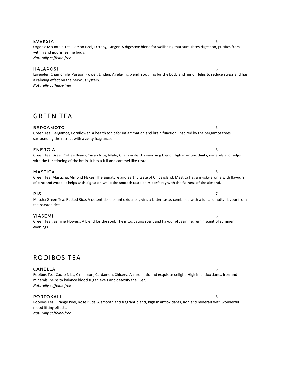#### EVEKSIA 6

Organic Mountain Tea, Lemon Peel, Dittany, Ginger. A digestive blend for wellbeing that stimulates digestion, purifies from within and nourishes the body. *Naturally caffeine-free*

#### HALAROSI 6

Lavender, Chamomile, Passion Flower, Linden. A relaxing blend, soothing for the body and mind. Helps to reduce stress and has a calming effect on the nervous system. *Naturally caffeine-free*

# GREEN TEA

#### BERGAMOTO 6

#### surrounding the retreat with a zesty fragrance.

ENERGIA 6

Green Tea, Green Coffee Beans, Cacao Nibs, Mate, Chamomile. An enerising blend. High in antioxidants, minerals and helps with the functioning of the brain. It has a full and caramel-like taste.

#### MASTICA 6

#### Green Tea, Masticha, Almond Flakes. The signature and earthy taste of Chios island. Mastica has a musky aroma with flavours of pine and wood. It helps with digestion while the smooth taste pairs perfectly with the fullness of the almond.

#### RISI 2008 - 2009 - 2009 - 2009 - 2009 - 2009 - 2009 - 2009 - 2009 - 2009 - 2009 - 2009 - 2009 - 200

#### Matcha Green Tea, Rosted Rice. A potent dose of antioxidants giving a bitter taste, combined with a full and nutty flavour from the roasted rice.

#### YIASEMI 6

Green Tea, Jasmine Flowers. A blend for the soul. The intoxicating scent and flavour of Jasmine, reminiscent of summer evenings.

# ROOIBOS TEA

#### CANELLA 6

Rooibos Tea, Cacao Nibs, Cinnamon, Cardamon, Chicory. An aromatic and exquisite delight. High in antioxidants, iron and minerals, helps to balance blood sugar levels and detoxify the liver. *Naturally caffeine-free*

#### PORTOKALI 6

Rooibos Tea, Orange Peel, Rose Buds. A smooth and fragrant blend, high in antioxidants, iron and minerals with wonderful mood-lifting effects.

*Naturally caffeine-free*

Green Tea, Bergamot, Cornflower. A health tonic for inflammation and brain function, inspired by the bergamot trees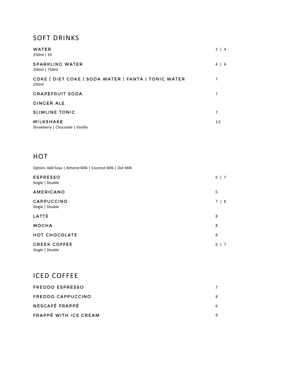# SOFT DRINKS

| <b>WATER</b><br>250ml   1lt                                  | $2 \mid 4$ |
|--------------------------------------------------------------|------------|
| SPARKLING WATER<br>250ml   750ml                             | $4 \mid 6$ |
| COKE   DIET COKE   SODA WATER   FANTA   TONIC WATER<br>250ml | 7          |
| <b>GRAPEFRUIT SODA</b>                                       | 7          |
| <b>GINGER ALE</b>                                            |            |
| <b>SLIMLINE TONIC</b>                                        | 7          |
| <b>MILKSHAKE</b><br>Strawberry   Chocolate   Vanilla         | 10         |

# HOT

Option: Add Soya | Almond Milk | Coconut Milk | Oat Milk

| <b>ESPRESSO</b><br>Single   Double     | 6<br>$\vert$ 7              |
|----------------------------------------|-----------------------------|
| <b>AMERICANO</b>                       | 6                           |
| CAPPUCCINO<br>Single   Double          | 7 <sup>7</sup><br>$\vert 8$ |
| LATTE                                  | 8                           |
| <b>MOCHA</b>                           | 8                           |
| <b>HOT CHOCOLATE</b>                   | 8                           |
| <b>GREEK COFFEE</b><br>Single   Double | 6<br>$\vert$ 7              |

# ICED COFFEE

| FREDDO ESPRESSO       |   |
|-----------------------|---|
| FREDDO CAPPUCCINO     | 8 |
| NESCAFÉ FRAPPÉ        | 6 |
| FRAPPÉ WITH ICE CREAM |   |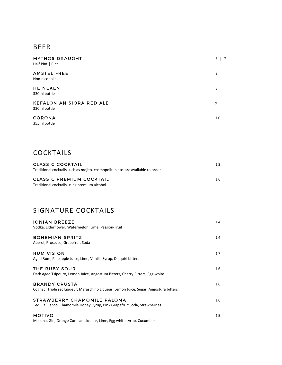# BEER

| <b>MYTHOS DRAUGHT</b><br>Half Pint   Pint       | 6<br>$\overline{7}$ |
|-------------------------------------------------|---------------------|
| <b>AMSTEL FREE</b><br>Non-alcoholic             | 8                   |
| <b>HEINEKEN</b><br>330ml bottle                 | 8                   |
| <b>KEFALONIAN SIORA RED ALE</b><br>330ml bottle | 9                   |
| <b>CORONA</b><br>355ml bottle                   | 10                  |

# COCKTAILS

| CLASSIC COCKTAIL                                                               |    |
|--------------------------------------------------------------------------------|----|
| Traditional cocktails such as mojito, cosmopolitan etc. are available to order |    |
| CLASSIC PREMIUM COCKTAIL                                                       | 16 |
| Traditional cocktails using premium alcohol                                    |    |

# SIGNATURE COCKTAILS

| <b>IONIAN BREEZE</b><br>Vodka, Elderflower, Watermelon, Lime, Passion-Fruit                                   | 14 |
|---------------------------------------------------------------------------------------------------------------|----|
| <b>BOHEMIAN SPRITZ</b><br>Aperol, Prosecco, Grapefruit Soda                                                   | 14 |
| <b>RUM VISION</b><br>Aged Rum, Pineapple Juice, Lime, Vanilla Syrup, Daiquiri bitters                         | 17 |
| THE RUBY SOUR<br>Dark Aged Tsipouro, Lemon Juice, Angostura Bitters, Cherry Bitters, Egg-white                | 16 |
| <b>BRANDY CRUSTA</b><br>Cognac, Triple sec Liqueur, Maraschino Liqueur, Lemon Juice, Sugar, Angostura bitters | 16 |
| STRAWBERRY CHAMOMILE PALOMA<br>Tequila Blanco, Chamomile Honey Syrup, Pink Grapefruit Soda, Strawberries      | 16 |
| <b>MOTIVO</b><br>Mastiha, Gin, Orange Curacao Liqueur, Lime, Egg white syrup, Cucumber                        | 15 |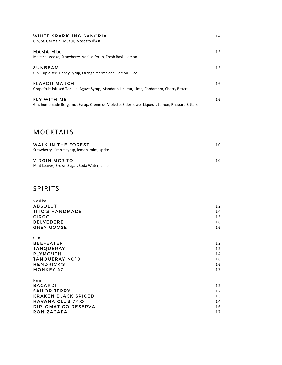| WHITE SPARKLING SANGRIA<br>Gin, St. Germain Liqueur, Moscato d'Asti                                                | 14 |
|--------------------------------------------------------------------------------------------------------------------|----|
| <b>MAMA MIA</b><br>Mastiha, Vodka, Strawberry, Vanilla Syrup, Fresh Basil, Lemon                                   | 15 |
| <b>SUNBEAM</b><br>Gin, Triple sec, Honey Syrup, Orange marmalade, Lemon Juice                                      | 15 |
| <b>FLAVOR MARCH</b><br>Grapefruit-infused Tequila, Agave Syrup, Mandarin Liqueur, Lime, Cardamom, Cherry Bitters   | 16 |
| <b>FLY WITH ME</b><br>Gin, homemade Bergamot Syrup, Creme de Violette, Elderflower Liqueur, Lemon, Rhubarb Bitters | 16 |

# MOCKTAILS

| WALK IN THE FOREST<br>Strawberry, simple syrup, lemon, mint, sprite | 1 O |
|---------------------------------------------------------------------|-----|
| VIRGIN MOJITO<br>Mint Leaves, Brown Sugar, Soda Water, Lime         | 1 O |

# SPIRITS

| Vodka                      |    |
|----------------------------|----|
| <b>ABSOLUT</b>             | 12 |
| TITO'S HANDMADE            | 14 |
| <b>CIROC</b>               | 15 |
| <b>BELVEDERE</b>           | 16 |
| <b>GREY GOOSE</b>          | 16 |
|                            |    |
| Gin                        |    |
| <b>BEEFEATER</b>           | 12 |
| <b>TANQUERAY</b>           | 12 |
| <b>PLYMOUTH</b>            | 14 |
| TANQUERAY NO10             | 16 |
| <b>HENDRICK'S</b>          | 16 |
| <b>MONKEY 47</b>           | 17 |
| R u m                      |    |
| <b>BACARDI</b>             | 12 |
| SAILOR JERRY               | 12 |
| <b>KRAKEN BLACK SPICED</b> | 13 |
| <b>HAVANA CLUB 7Y.O</b>    | 14 |
| DIPLOMATICO RESERVA        | 16 |
| <b>RON ZACAPA</b>          | 17 |
|                            |    |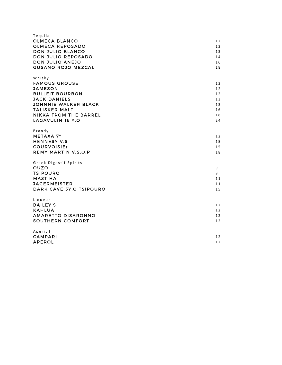| Tequila                      |    |
|------------------------------|----|
| OLMECA BLANCO                | 12 |
| <b>OLMECA REPOSADO</b>       | 12 |
| DON JULIO BLANCO             | 13 |
|                              |    |
| DON JULIO REPOSADO           | 14 |
| DON JULIO ANEJO              | 16 |
| <b>GUSANO ROJO MEZCAL</b>    | 18 |
| Whisky                       |    |
| <b>FAMOUS GROUSE</b>         | 12 |
| <b>JAMESON</b>               | 12 |
| <b>BULLEIT BOURBON</b>       | 12 |
| <b>JACK DANIELS</b>          | 13 |
| <b>JOHNNIE WALKER BLACK</b>  | 13 |
| <b>TALISKER MALT</b>         | 16 |
| <b>NIKKA FROM THE BARREL</b> | 18 |
| <b>LAGAVULIN 16 Y.O</b>      | 24 |
| Brandy                       |    |
| <b>METAXA 7*</b>             | 12 |
| <b>HENNESY V.S</b>           | 15 |
| <b>COURVOISIEr</b>           | 15 |
| <b>REMY MARTIN V.S.O.P</b>   | 18 |
|                              |    |
| Greek Digestif Spirits       |    |
| OUZO                         | 9  |
| <b>TSIPOURO</b>              | 9  |
| <b>MASTIHA</b>               | 11 |
| <b>JAGERMEISTER</b>          | 11 |
| DARK CAVE 5Y.O TSIPOURO      | 15 |
| Liqueur                      |    |
| <b>BAILEY'S</b>              | 12 |
| <b>KAHLUA</b>                | 12 |
| AMARETTO DISARONNO           |    |
| <b>SOUTHERN COMFORT</b>      | 12 |
|                              | 12 |
| Aperitif                     |    |
| <b>CAMPARI</b>               | 12 |
| <b>APEROL</b>                | 12 |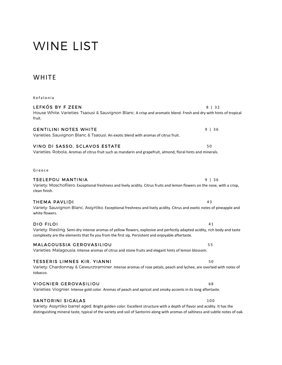# WINE LIST

# **WHITE**

| Kefalonia                                                                                                                                                                                                                                                                                 |          |
|-------------------------------------------------------------------------------------------------------------------------------------------------------------------------------------------------------------------------------------------------------------------------------------------|----------|
| LEFKÓS BY F ZEEN<br>House White. Varieties: Tsaousi & Sauvignon Blanc. A crisp and aromatic blend. Fresh and dry with hints of tropical<br>fruit.                                                                                                                                         | $8$   32 |
| <b>GENTILINI NOTES WHITE</b><br>Varieties: Sauvignon Blanc & Tsaousi. An exotic blend with aromas of citrus fruit.                                                                                                                                                                        | 9   36   |
| VINO DI SASSO, SCLAVOS ESTATE<br>Varieties: Robola. Aromas of citrus fruit such as mandarin and grapefruit, almond, floral hints and minerals.                                                                                                                                            | 50       |
| Greece                                                                                                                                                                                                                                                                                    |          |
| TSELEPOU MANTINIA<br>Variety: Moschofilero. Exceptional freshness and lively acidity. Citrus fruits and lemon flowers on the nose, with a crisp,<br>clean finish.                                                                                                                         | 9   36   |
| <b>THEMA PAVLIDI</b><br>Variety: Sauvignon Blanc, Assyrtiko. Exceptional freshness and lively acidity. Citrus and exotic notes of pineapple and<br>white flowers.                                                                                                                         | 43       |
| <b>DIO FILOI</b><br>Variety: Riesling. Semi-dry intense aromas of yellow flowers, explosive and perfectly adapted acidity, rich body and taste<br>complexity are the elements that fix you from the first sip. Persistent and enjoyable aftertaste.                                       | 41       |
| <b>MALAGOUSSIA GEROVASILIOU</b><br>Varieties: Malagousia. Intense aromas of citrus and stone fruits and elegant hints of lemon blossom.                                                                                                                                                   | 55       |
| <b>TESSERIS LIMNES KIR. YIANNI</b><br>Variety: Chardonnay & Gewurztraminer. Intense aromas of rose petals, peach and lychee, are overlaid with notes of<br>tobacco.                                                                                                                       | 50       |
| <b>VIOGNIER GEROVASILIOU</b><br>Varieties: Viognier. Intense gold color. Aromas of peach and apricot and smoky accents in its long aftertaste.                                                                                                                                            | 68       |
| <b>SANTORINI SIGALAS</b><br>Variety: Assyrtiko barrel aged. Bright golden color. Excellent structure with a depth of flavor and acidity. It has the<br>distinguishing mineral taste, typical of the variety and soil of Santorini along with aromas of saltiness and subtle notes of oak. | 100      |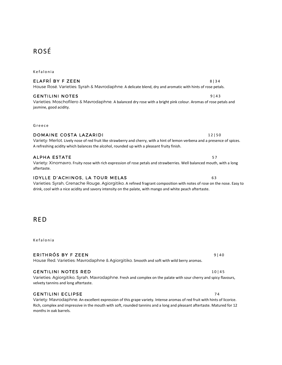# ROSÉ

**Kefalonia** 

### ELAFRÍ BY FZEEN  $8|34$

### GENTILINI NOTES 9 9 143

#### Varieties: Moschofilero & Mavrodaphne. A balanced dry rose with a bright pink colour. Aromas of rose petals and jasmine, good acidity.

G r e e c e

aftertaste.

### D O M A I N E C O S T A L A Z A R I D I 1 2 | 5 0

### ALPHA ESTATE 57

# I DYLLE D'ACHINOS, LA TOUR MELAS **EN CONTRACTE EN CONTRACTE DE LA CONTRACTE EN CONTRACTE EN CONTRACTE EN CONTRA**

A refreshing acidity which balances the alcohol, rounded up with a pleasant fruity finish.

Varieties: Syrah, Grenache Rouge, Agiorgitiko. A refined fragrant composition with notes of rose on the nose. Easy to drink, cool with a nice acidity and savory intensity on the palate, with mango and white peach aftertaste.

Variety: Xinomavro. Fruity nose with rich expression of rose petals and strawberries. Well balanced mouth, with a long

Variety: Merlot. Lively nose of red fruit like strawberry and cherry, with a hint of lemon verbena and a presence of spices.

# RED

**Kefalonia** 

### ERITHRÓS BY F ZEEN SANT HERITHRÓS BY FILE

### House Red. Varieties: Mavrodaphne & Agiorgitiko. Smooth and soft with wild berry aromas.

#### GENTILINI NOTES RED 10 | 10 | 45

#### Varieties: Agiorgitiko, Syrah, Mavrodaphne. Fresh and complex on the palate with sour cherry and spicy flavours, velvety tannins and long aftertaste.

### G ENTILINI ECLIPSE THE RELATIONSHIP OF THE RELATIONSHIP OF THE RELATIONSHIP OF THE RELATIONSHIP OF THE RELATIONSHIP OF THE RELATIONSHIP OF THE RELATIONSHIP OF THE RELATIONSHIP OF THE RELATIONSHIP OF THE RELATIONSHIP OF THE

Variety: Mavrodaphne. An excellent expression of this grape variety. Intense aromas of red fruit with hints of licorice. Rich, complex and impressive in the mouth with soft, rounded tannins and a long and pleasant aftertaste. Matured for 12 months in oak barrels.

House Rosé. Varieties: Syrah & Mavrodaphne. A delicate blend, dry and aromatic with hints of rose petals.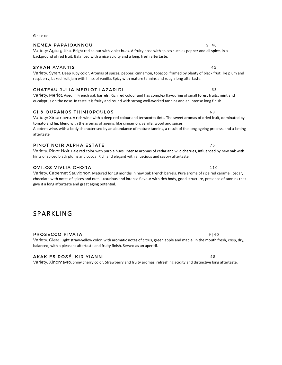### Variety: Syrah. Deep ruby color. Aromas of spices, pepper, cinnamon, tobacco, framed by plenty of black fruit like plum and

Variety: Pinot Noir. Pale red color with purple hues. Intense aromas of cedar and wild cherries, influenced by new oak with

# N E M E A PAPAI O ANNOU

#### Variety: Agiorgitiko. Bright red colour with violet hues. A fruity nose with spices such as pepper and all spice, in a background of red fruit. Balanced with a nice acidity and a long, fresh aftertaste.

### SYRAH AVANTIS 45

G r e e c e

# C H A T E A U J U L I A M E R L O T L A Z A R I D I 6 3

Variety: Merlot. Aged in French oak barrels. Rich red colour and has complex flavouring of small forest fruits, mint and eucalyptus on the nose. In taste it is fruity and round with strong well-worked tannins and an intense long finish.

raspberry, baked fruit jam with hints of vanilla. Spicy with mature tannins and rough long aftertaste.

### GI & OURANOS THIMIOPOULOS AND RESERVE THIS CONSUMING A SAMPLE OF A SAMPLE OF A SAMPLE OF A SAMPLE OF A SAMPLE O

# tomato and fig, blend with the aromas of ageing, like cinnamon, vanilla, wood and spices.

A potent wine, with a body characterised by an abundance of mature tannins, a result of the long ageing process, and a lasting aftertaste

Variety: Xinomavro. A rich wine with a deep red colour and terracotta tints. The sweet aromas of dried fruit, dominated by

### PINOT NOIR ALPHA ESTATE THE RESERVE TO A THE RESERVE TO A THE RESERVE TO A THE RESERVE TO A THE RESERVE TO A T

# hints of spiced black plums and cocoa. Rich and elegant with a luscious and savory aftertaste.

### OVILOS VIVLIA CHORA 2002 - 2003 - 2004 - 2005 - 2014 - 2015 - 2016 - 2017 - 2018 - 2019 - 2019 - 2019 - 2019 -

Variety: Cabernet Sauvignon. Matured for 18 months in new oak French barrels. Pure aroma of ripe red caramel, cedar, chocolate with notes of spices and nuts. Luxurious and intense flavour with rich body, good structure, presence of tannins that give it a long aftertaste and great aging potential.

# SPARKLING

# PROSECCO RIVATA AND INTERNATIONAL SERVICE OF A SERVICE OF A 40 MHz

Variety: Glera. Light straw-yellow color, with aromatic notes of citrus, green apple and maple. In the mouth fresh, crisp, dry, balanced, with a pleasant aftertaste and fruity finish. Served as an aperitif.

# A K A K I E S R O S É , K I R Y I A N N I 4 8

Variety: Xinomavro. Shiny cherry color. Strawberry and fruity aromas, refreshing acidity and distinctive long aftertaste.